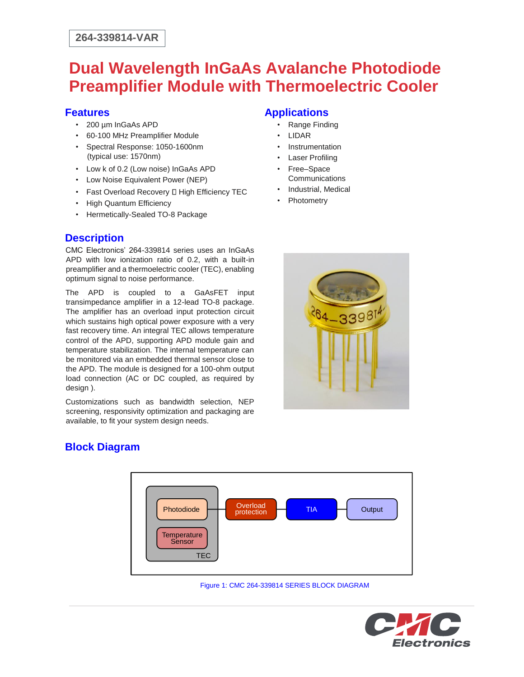## **Dual Wavelength InGaAs Avalanche Photodiode Preamplifier Module with Thermoelectric Cooler**

#### **Features**

- 200 um InGaAs APD
- 60-100 MHz Preamplifier Module
- Spectral Response: 1050-1600nm (typical use: 1570nm)
- Low k of 0.2 (Low noise) InGaAs APD
- Low Noise Equivalent Power (NEP)
- Fast Overload Recovery D High Efficiency TEC
- High Quantum Efficiency
- Hermetically-Sealed TO-8 Package

### **Description**

CMC Electronics' 264-339814 series uses an InGaAs APD with low ionization ratio of 0.2, with a built-in preamplifier and a thermoelectric cooler (TEC), enabling optimum signal to noise performance.

The APD is coupled to a GaAsFET input transimpedance amplifier in a 12-lead TO-8 package. The amplifier has an overload input protection circuit which sustains high optical power exposure with a very fast recovery time. An integral TEC allows temperature control of the APD, supporting APD module gain and temperature stabilization. The internal temperature can be monitored via an embedded thermal sensor close to the APD. The module is designed for a 100-ohm output load connection (AC or DC coupled, as required by design ).

Customizations such as bandwidth selection, NEP screening, responsivity optimization and packaging are available, to fit your system design needs.

## **Applications**

- Range Finding
- LIDAR
- **Instrumentation**
- **Laser Profiling**
- Free–Space **Communications**
- Industrial, Medical
- Photometry



## **Block Diagram**



Figure 1: CMC 264-339814 SERIES BLOCK DIAGRAM

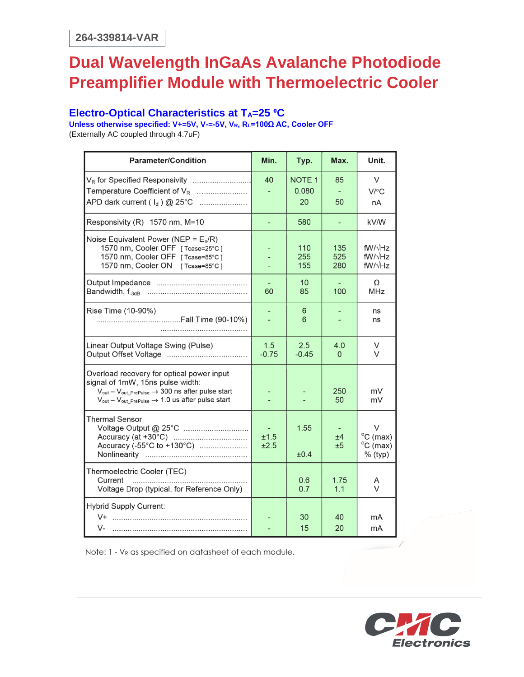## **Dual Wavelength InGaAs Avalanche Photodiode Preamplifier Module with Thermoelectric Cooler**

### **Electro-Optical Characteristics at T<sub>A</sub>=25 °C**

**Unless otherwise specified: V+=5V, V-=-5V, VR, RL=100Ω AC, Cooler OFF**  (Externally AC coupled through 4.7uF)

| <b>Parameter/Condition</b>                                                                                                                                                                                                              | Min.                     | Typ.                         | Max.              | Unit.                                                           |
|-----------------------------------------------------------------------------------------------------------------------------------------------------------------------------------------------------------------------------------------|--------------------------|------------------------------|-------------------|-----------------------------------------------------------------|
| Temperature Coefficient of $V_R$<br>APD dark current $(I_d) @ 25°C$                                                                                                                                                                     | 40                       | <b>NOTE 1</b><br>0.080<br>20 | 85<br>50          | V<br>$V$ /°C<br>nA                                              |
| Responsivity (R) 1570 nm, M=10                                                                                                                                                                                                          | $\overline{\phantom{a}}$ | 580                          |                   | kV/W                                                            |
| Noise Equivalent Power (NEP = $E_n/R$ )<br>1570 nm, Cooler OFF [Tcase=25°C]<br>1570 nm, Cooler OFF [Tcase=85°C]<br>1570 nm, Cooler ON [Tcase=85°C]                                                                                      |                          | 110<br>255<br>155            | 135<br>525<br>280 | $fW/\sqrt{Hz}$<br>$fW/\sqrt{Hz}$<br>$fW/\sqrt{Hz}$              |
|                                                                                                                                                                                                                                         | 60                       | 10<br>85                     | 100               | Ω<br><b>MHz</b>                                                 |
| Rise Time (10-90%)                                                                                                                                                                                                                      |                          | 6<br>6                       |                   | ns<br>ns                                                        |
| Linear Output Voltage Swing (Pulse)                                                                                                                                                                                                     | 1.5<br>$-0.75$           | 2.5<br>$-0.45$               | 4.0<br>$\Omega$   | V<br>V                                                          |
| Overload recovery for optical power input<br>signal of 1mW, 15ns pulse width:<br>$V_{out} - V_{out\_PrePulse} \rightarrow 300$ ns after pulse start<br>$V_{\text{out}} - V_{\text{out\_PrePulse}} \rightarrow 1.0$ us after pulse start |                          |                              | 250<br>50         | mV<br>mV                                                        |
| <b>Thermal Sensor</b><br>Accuracy (-55°C to +130°C)                                                                                                                                                                                     | ±1.5<br>±2.5             | 1.55<br>±0.4                 | ±4<br>±5          | $\vee$<br>$^{\circ}$ C (max)<br>$^{\circ}$ C (max)<br>$%$ (typ) |
| Thermoelectric Cooler (TEC)<br>Current<br>Voltage Drop (typical, for Reference Only)                                                                                                                                                    |                          | 0.6<br>0.7                   | 1.75<br>1.1       | A<br>V                                                          |
| <b>Hybrid Supply Current:</b><br>V-                                                                                                                                                                                                     |                          | 30<br>15                     | 40<br>20          | mA<br>mA                                                        |

Note: 1 - V<sub>R</sub> as specified on datasheet of each module.